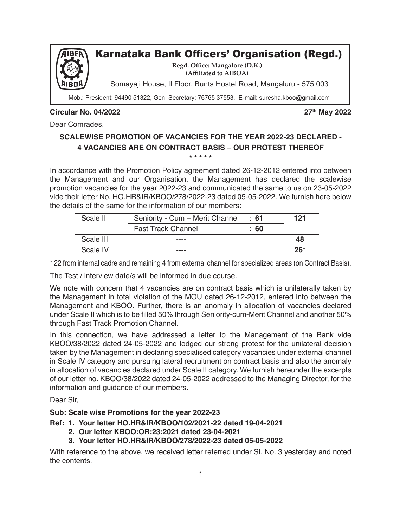

Mob.: President: 94490 51322, Gen. Secretary: 76765 37553, E-mail: suresha.kboo@gmail.com

## **Circular No. 04/2022 27th May 2022**

Dear Comrades,

## **SCALEWISE PROMOTION OF VACANCIES FOR THE YEAR 2022-23 DECLARED - 4 VACANCIES ARE ON CONTRACT BASIS – OUR PROTEST THEREOF \* \* \* \* \***

In accordance with the Promotion Policy agreement dated 26-12-2012 entered into between the Management and our Organisation, the Management has declared the scalewise promotion vacancies for the year 2022-23 and communicated the same to us on 23-05-2022 vide their letter No. HO.HR&IR/KBOO/278/2022-23 dated 05-05-2022. We furnish here below the details of the same for the information of our members:

| Scale II  | Seniority - Cum - Merit Channel | ∶ 61 | 121   |
|-----------|---------------------------------|------|-------|
|           | <b>Fast Track Channel</b>       | :60  |       |
| Scale III | ----                            |      | 48    |
| Scale IV  | ----                            |      | $26*$ |

\* 22 from internal cadre and remaining 4 from external channel for specialized areas (on Contract Basis).

The Test / interview date/s will be informed in due course.

We note with concern that 4 vacancies are on contract basis which is unilaterally taken by the Management in total violation of the MOU dated 26-12-2012, entered into between the Management and KBOO. Further, there is an anomaly in allocation of vacancies declared under Scale II which is to be filled 50% through Seniority-cum-Merit Channel and another 50% through Fast Track Promotion Channel.

In this connection, we have addressed a letter to the Management of the Bank vide KBOO/38/2022 dated 24-05-2022 and lodged our strong protest for the unilateral decision taken by the Management in declaring specialised category vacancies under external channel in Scale IV category and pursuing lateral recruitment on contract basis and also the anomaly in allocation of vacancies declared under Scale II category. We furnish hereunder the excerpts of our letter no. KBOO/38/2022 dated 24-05-2022 addressed to the Managing Director, for the information and guidance of our members.

Dear Sir,

## **Sub: Scale wise Promotions for the year 2022-23**

- **Ref: 1. Your letter HO.HR&IR/KBOO/102/2021-22 dated 19-04-2021** 
	- **2. Our letter KBOO:OR:23:2021 dated 23-04-2021**
	- **3. Your letter HO.HR&IR/KBOO/278/2022-23 dated 05-05-2022**

With reference to the above, we received letter referred under Sl. No. 3 yesterday and noted the contents.